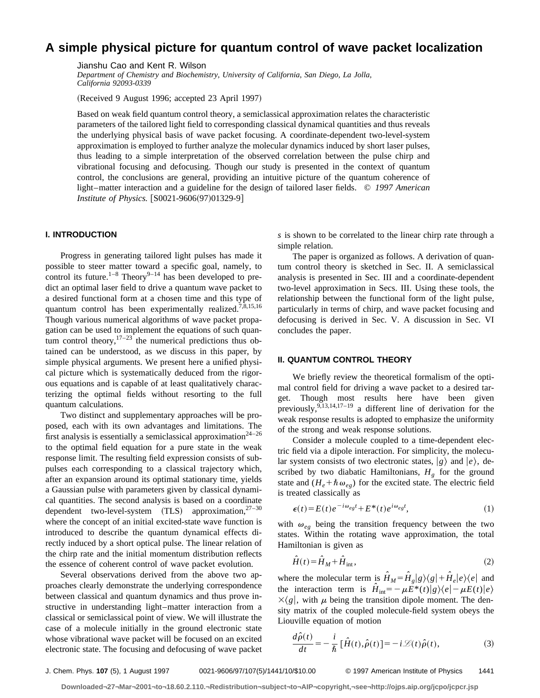# **A simple physical picture for quantum control of wave packet localization**

Jianshu Cao and Kent R. Wilson

*Department of Chemistry and Biochemistry, University of California, San Diego, La Jolla, California 92093-0339*

(Received 9 August 1996; accepted 23 April 1997)

Based on weak field quantum control theory, a semiclassical approximation relates the characteristic parameters of the tailored light field to corresponding classical dynamical quantities and thus reveals the underlying physical basis of wave packet focusing. A coordinate-dependent two-level-system approximation is employed to further analyze the molecular dynamics induced by short laser pulses, thus leading to a simple interpretation of the observed correlation between the pulse chirp and vibrational focusing and defocusing. Though our study is presented in the context of quantum control, the conclusions are general, providing an intuitive picture of the quantum coherence of light–matter interaction and a guideline for the design of tailored laser fields. © *1997 American Institute of Physics.* [S0021-9606(97)01329-9]

#### **I. INTRODUCTION**

Progress in generating tailored light pulses has made it possible to steer matter toward a specific goal, namely, to control its future.<sup>1–8</sup> Theory<sup>9–14</sup> has been developed to predict an optimal laser field to drive a quantum wave packet to a desired functional form at a chosen time and this type of quantum control has been experimentally realized.<sup>7,8,15,16</sup> Though various numerical algorithms of wave packet propagation can be used to implement the equations of such quantum control theory,  $17-23$  the numerical predictions thus obtained can be understood, as we discuss in this paper, by simple physical arguments. We present here a unified physical picture which is systematically deduced from the rigorous equations and is capable of at least qualitatively characterizing the optimal fields without resorting to the full quantum calculations.

Two distinct and supplementary approaches will be proposed, each with its own advantages and limitations. The first analysis is essentially a semiclassical approximation<sup>24-26</sup> to the optimal field equation for a pure state in the weak response limit. The resulting field expression consists of subpulses each corresponding to a classical trajectory which, after an expansion around its optimal stationary time, yields a Gaussian pulse with parameters given by classical dynamical quantities. The second analysis is based on a coordinate dependent two-level-system  $(TLS)$  approximation,<sup>27-30</sup> where the concept of an initial excited-state wave function is introduced to describe the quantum dynamical effects directly induced by a short optical pulse. The linear relation of the chirp rate and the initial momentum distribution reflects the essence of coherent control of wave packet evolution.

Several observations derived from the above two approaches clearly demonstrate the underlying correspondence between classical and quantum dynamics and thus prove instructive in understanding light–matter interaction from a classical or semiclassical point of view. We will illustrate the case of a molecule initially in the ground electronic state whose vibrational wave packet will be focused on an excited electronic state. The focusing and defocusing of wave packet *s* is shown to be correlated to the linear chirp rate through a simple relation.

The paper is organized as follows. A derivation of quantum control theory is sketched in Sec. II. A semiclassical analysis is presented in Sec. III and a coordinate-dependent two-level approximation in Secs. III. Using these tools, the relationship between the functional form of the light pulse, particularly in terms of chirp, and wave packet focusing and defocusing is derived in Sec. V. A discussion in Sec. VI concludes the paper.

#### **II. QUANTUM CONTROL THEORY**

We briefly review the theoretical formalism of the optimal control field for driving a wave packet to a desired target. Though most results here have been given previously,  $9,13,14,17-19$  a different line of derivation for the weak response results is adopted to emphasize the uniformity of the strong and weak response solutions.

Consider a molecule coupled to a time-dependent electric field via a dipole interaction. For simplicity, the molecular system consists of two electronic states,  $|g\rangle$  and  $|e\rangle$ , described by two diabatic Hamiltonians,  $H<sub>g</sub>$  for the ground state and  $(H_e + \hbar \omega_{eg})$  for the excited state. The electric field is treated classically as

$$
\epsilon(t) = E(t)e^{-i\omega_{eg}t} + E^*(t)e^{i\omega_{eg}t}, \qquad (1)
$$

with  $\omega_{ee}$  being the transition frequency between the two states. Within the rotating wave approximation, the total Hamiltonian is given as

$$
\hat{H}(t) = \hat{H}_M + \hat{H}_{\text{int}},\tag{2}
$$

where the molecular term is  $\hat{H}_M = \hat{H}_g/g \langle g| + \hat{H}_e|e \rangle \langle e|$  and the interaction term is  $\hat{H}_{int} = -\mu E^*(t)|g\rangle\langle e| - \mu E(t)|e\rangle$  $\times$ (g), with  $\mu$  being the transition dipole moment. The density matrix of the coupled molecule-field system obeys the Liouville equation of motion

$$
\frac{d\hat{\rho}(t)}{dt} = -\frac{i}{\hbar} \left[ \hat{H}(t), \hat{\rho}(t) \right] = -i \mathcal{L}(t) \hat{\rho}(t),\tag{3}
$$

J. Chem. Phys. **107** (5), 1 August 1997 0021-9606/97/107(5)/1441/10/\$10.00 © 1997 American Institute of Physics 1441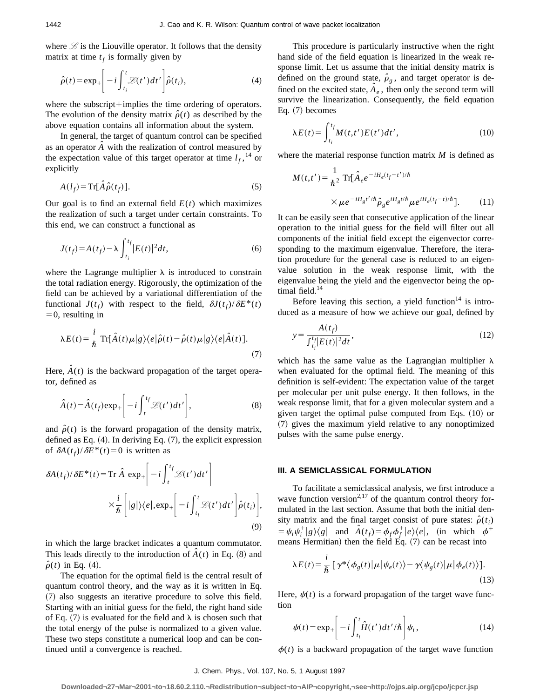where  $\mathcal{L}$  is the Liouville operator. It follows that the density matrix at time  $t_f$  is formally given by

$$
\hat{\rho}(t) = \exp_{+}\left[-i\int_{t_i}^t \mathcal{L}(t')dt'\right]\hat{\rho}(t_i),\tag{4}
$$

where the subscript $+$ implies the time ordering of operators. The evolution of the density matrix  $\hat{\rho}(t)$  as described by the above equation contains all information about the system.

In general, the target of quantum control can be specified as an operator  $\hat{A}$  with the realization of control measured by the expectation value of this target operator at time  $l_f$ , <sup>14</sup> or explicitly

$$
A(l_f) = \operatorname{Tr}[\hat{A}\hat{\rho}(t_f)].
$$
\n(5)

Our goal is to find an external field  $E(t)$  which maximizes the realization of such a target under certain constraints. To this end, we can construct a functional as

$$
J(t_f) = A(t_f) - \lambda \int_{t_i}^{t_f} |E(t)|^2 dt,
$$
 (6)

where the Lagrange multiplier  $\lambda$  is introduced to constrain the total radiation energy. Rigorously, the optimization of the field can be achieved by a variational differentiation of the functional  $J(t_f)$  with respect to the field,  $\delta J(t_f)/\delta E^*(t)$  $=0$ , resulting in

$$
\lambda E(t) = \frac{i}{\hbar} \operatorname{Tr}[\hat{A}(t)\mu|g\rangle\langle e|\hat{\rho}(t) - \hat{\rho}(t)\mu|g\rangle\langle e|\hat{A}(t)].
$$
\n(7)

Here,  $\hat{A}(t)$  is the backward propagation of the target operator, defined as

$$
\hat{A}(t) = \hat{A}(t_f) \exp\left[-i \int_t^{t_f} \mathcal{L}(t') dt'\right],
$$
\n(8)

and  $\hat{\rho}(t)$  is the forward propagation of the density matrix, defined as Eq.  $(4)$ . In deriving Eq.  $(7)$ , the explicit expression of  $\delta A(t_f)/\delta E^*(t)=0$  is written as

$$
\delta A(t_f)/\delta E^*(t) = \text{Tr}\,\hat{A}\, \exp_+\bigg[-i\int_t^{t_f} \mathcal{L}(t')dt'\bigg] \times \frac{i}{\hbar} \bigg[|g|\rangle\langle e|, \exp_+\bigg[-i\int_{t_i}^t \mathcal{L}(t')dt'\bigg]\hat{\rho}(t_i)\bigg],\tag{9}
$$

in which the large bracket indicates a quantum commutator. This leads directly to the introduction of  $\hat{A}(t)$  in Eq. (8) and  $\hat{\rho}(t)$  in Eq. (4).

The equation for the optimal field is the central result of quantum control theory, and the way as it is written in Eq. ~7! also suggests an iterative procedure to solve this field. Starting with an initial guess for the field, the right hand side of Eq. (7) is evaluated for the field and  $\lambda$  is chosen such that the total energy of the pulse is normalized to a given value. These two steps constitute a numerical loop and can be continued until a convergence is reached.

This procedure is particularly instructive when the right hand side of the field equation is linearized in the weak response limit. Let us assume that the initial density matrix is defined on the ground state,  $\hat{\rho}_g$ , and target operator is defined on the excited state,  $\hat{A}_e$ , then only the second term will survive the linearization. Consequently, the field equation Eq.  $(7)$  becomes

$$
\lambda E(t) = \int_{t_i}^{t_f} M(t, t') E(t') dt', \qquad (10)
$$

where the material response function matrix *M* is defined as

$$
M(t,t') = \frac{1}{\hbar^2} \operatorname{Tr}[\hat{A}_e e^{-iH_e(t_f - t')/\hbar} \times \mu e^{-iH_g t'/\hbar} \hat{\rho}_g e^{iH_g t/\hbar} \mu e^{iH_e(t_f - t)/\hbar}].
$$
 (11)

It can be easily seen that consecutive application of the linear operation to the initial guess for the field will filter out all components of the initial field except the eigenvector corresponding to the maximum eigenvalue. Therefore, the iteration procedure for the general case is reduced to an eigenvalue solution in the weak response limit, with the eigenvalue being the yield and the eigenvector being the optimal field. $14$ 

Before leaving this section, a yield function<sup>14</sup> is introduced as a measure of how we achieve our goal, defined by

$$
y = \frac{A(t_f)}{\int_{t_i}^{t_f} |E(t)|^2 dt},
$$
\n(12)

which has the same value as the Lagrangian multiplier  $\lambda$ when evaluated for the optimal field. The meaning of this definition is self-evident: The expectation value of the target per molecular per unit pulse energy. It then follows, in the weak response limit, that for a given molecular system and a given target the optimal pulse computed from Eqs.  $(10)$  or ~7! gives the maximum yield relative to any nonoptimized pulses with the same pulse energy.

#### **III. A SEMICLASSICAL FORMULATION**

To facilitate a semiclassical analysis, we first introduce a wave function version<sup>2,17</sup> of the quantum control theory formulated in the last section. Assume that both the initial density matrix and the final target consist of pure states:  $\hat{\rho}(t_i)$  $= \psi_i \psi_i^+ |g\rangle\langle g|$  and  $\hat{A}(t_f) = \phi_f \phi_f^+ |e\rangle\langle e|$ , (in which  $\phi^+$ means Hermitian) then the field Eq.  $(7)$  can be recast into

$$
\lambda E(t) = \frac{i}{\hbar} \left[ \gamma^* \langle \phi_g(t) | \mu | \psi_e(t) \rangle - \gamma \langle \psi_g(t) | \mu | \phi_e(t) \rangle \right].
$$
\n(13)

Here,  $\psi(t)$  is a forward propagation of the target wave function

$$
\psi(t) = \exp_+\left[ -i \int_{t_i}^t \hat{H}(t') dt'/\hbar \right] \psi_i, \qquad (14)
$$

 $\phi(t)$  is a backward propagation of the target wave function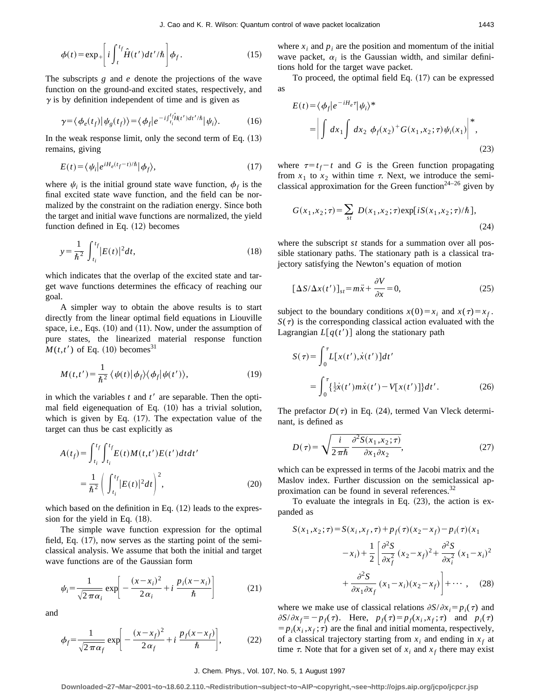$$
\phi(t) = \exp_{+}\left[i\int_{t}^{t_f} \hat{H}(t')dt'/\hbar\right]\phi_f.
$$
\n(15)

The subscripts *g* and *e* denote the projections of the wave function on the ground-and excited states, respectively, and  $\gamma$  is by definition independent of time and is given as

$$
\gamma = \langle \phi_e(t_f) | \psi_g(t_f) \rangle = \langle \phi_f | e^{-i \int_{t_i}^{t_f} \hat{H}(t') dt'/\hbar} | \psi_i \rangle. \tag{16}
$$

In the weak response limit, only the second term of Eq.  $(13)$ remains, giving

$$
E(t) = \langle \psi_i | e^{i H_e(t_f - t)/\hbar} | \phi_f \rangle, \tag{17}
$$

where  $\psi_i$  is the initial ground state wave function,  $\phi_f$  is the final excited state wave function, and the field can be normalized by the constraint on the radiation energy. Since both the target and initial wave functions are normalized, the yield function defined in Eq.  $(12)$  becomes

$$
y = \frac{1}{\hbar^2} \int_{t_i}^{t_f} |E(t)|^2 dt,
$$
\n(18)

which indicates that the overlap of the excited state and target wave functions determines the efficacy of reaching our goal.

A simpler way to obtain the above results is to start directly from the linear optimal field equations in Liouville space, i.e., Eqs.  $(10)$  and  $(11)$ . Now, under the assumption of pure states, the linearized material response function  $M(t,t')$  of Eq. (10) becomes<sup>31</sup>

$$
M(t,t') = \frac{1}{\hbar^2} \langle \psi(t) | \phi_f \rangle \langle \phi_f | \psi(t') \rangle, \tag{19}
$$

in which the variables  $t$  and  $t'$  are separable. Then the optimal field eigenequation of Eq.  $(10)$  has a trivial solution, which is given by Eq.  $(17)$ . The expectation value of the target can thus be cast explicitly as

$$
A(t_f) = \int_{t_i}^{t_f} \int_{t_i}^{t_f} E(t)M(t,t')E(t')dtdt'
$$
  
= 
$$
\frac{1}{\hbar^2} \left( \int_{t_i}^{t_f} |E(t)|^2 dt \right)^2,
$$
 (20)

which based on the definition in Eq.  $(12)$  leads to the expression for the yield in Eq.  $(18)$ .

The simple wave function expression for the optimal field, Eq.  $(17)$ , now serves as the starting point of the semiclassical analysis. We assume that both the initial and target wave functions are of the Gaussian form

$$
\psi_i = \frac{1}{\sqrt{2\pi\alpha_i}} \exp\left[-\frac{(x-x_i)^2}{2\alpha_i} + i\frac{p_i(x-x_i)}{\hbar}\right] \tag{21}
$$

and

$$
\phi_f = \frac{1}{\sqrt{2\pi\alpha_f}} \exp\left[-\frac{(x-x_f)^2}{2\alpha_f} + i\frac{p_f(x-x_f)}{\hbar}\right],\tag{22}
$$

where  $x_i$  and  $p_i$  are the position and momentum of the initial wave packet,  $\alpha_i$  is the Gaussian width, and similar definitions hold for the target wave packet.

To proceed, the optimal field Eq.  $(17)$  can be expressed as

$$
E(t) = \langle \phi_f | e^{-iH_e \tau} | \psi_i \rangle^*
$$
  
= 
$$
\left| \int dx_1 \int dx_2 \phi_f(x_2)^+ G(x_1, x_2; \tau) \psi_i(x_1) \right|^*,
$$
 (23)

where  $\tau = t_f - t$  and *G* is the Green function propagating from  $x_1$  to  $x_2$  within time  $\tau$ . Next, we introduce the semiclassical approximation for the Green function<sup>24–26</sup> given by

$$
G(x_1, x_2; \tau) = \sum_{st} D(x_1, x_2; \tau) \exp[iS(x_1, x_2; \tau)/\hbar],
$$
\n(24)

where the subscript *st* stands for a summation over all possible stationary paths. The stationary path is a classical trajectory satisfying the Newton's equation of motion

$$
[\Delta S/\Delta x(t')]_{st} = m\ddot{x} + \frac{\partial V}{\partial x} = 0,
$$
 (25)

subject to the boundary conditions  $x(0) = x_i$  and  $x(\tau) = x_f$ .  $S(\tau)$  is the corresponding classical action evaluated with the Lagrangian  $L[q(t')]$  along the stationary path

$$
S(\tau) = \int_0^{\tau} L[x(t'), \dot{x}(t')]dt'
$$
  
= 
$$
\int_0^{\tau} {\frac{1}{2}\dot{x}(t')m\dot{x}(t') - V[x(t')] }dt'.
$$
 (26)

The prefactor  $D(\tau)$  in Eq. (24), termed Van Vleck determinant, is defined as

$$
D(\tau) = \sqrt{\frac{i}{2\pi\hbar} \frac{\partial^2 S(x_1, x_2; \tau)}{\partial x_1 \partial x_2}},\tag{27}
$$

which can be expressed in terms of the Jacobi matrix and the Maslov index. Further discussion on the semiclassical approximation can be found in several references.<sup>32</sup>

To evaluate the integrals in Eq.  $(23)$ , the action is expanded as

$$
S(x_1, x_2; \tau) = S(x_i, x_f, \tau) + p_f(\tau)(x_2 - x_f) - p_i(\tau)(x_1 - x_i) + \frac{1}{2} \left[ \frac{\partial^2 S}{\partial x_f^2} (x_2 - x_f)^2 + \frac{\partial^2 S}{\partial x_i^2} (x_1 - x_i)^2 + \frac{\partial^2 S}{\partial x_1 \partial x_f} (x_1 - x_i)(x_2 - x_f) \right] + \cdots, \quad (28)
$$

where we make use of classical relations  $\partial S/\partial x_i = p_i(\tau)$  and  $\partial S/\partial x_f = -p_f(\tau)$ . Here,  $p_f(\tau) = p_f(x_i, x_f; \tau)$  and  $p_i(\tau)$  $=p_i(x_i, x_f; \tau)$  are the final and initial momenta, respectively, of a classical trajectory starting from  $x_i$  and ending in  $x_f$  at time  $\tau$ . Note that for a given set of  $x_i$  and  $x_f$  there may exist

**Downloaded¬27¬Mar¬2001¬to¬18.60.2.110.¬Redistribution¬subject¬to¬AIP¬copyright,¬see¬http://ojps.aip.org/jcpo/jcpcr.jsp**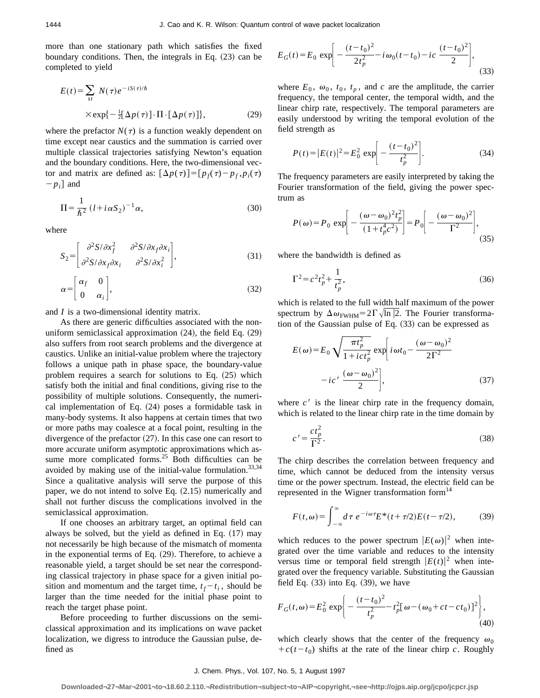more than one stationary path which satisfies the fixed boundary conditions. Then, the integrals in Eq.  $(23)$  can be completed to yield

$$
E(t) = \sum_{st} N(\tau) e^{-iS(\tau)/\hbar}
$$
  
 
$$
\times \exp\{-\frac{1}{2}[\Delta p(\tau)] \cdot \Pi \cdot [\Delta p(\tau)]\},
$$
 (29)

where the prefactor  $N(\tau)$  is a function weakly dependent on time except near caustics and the summation is carried over multiple classical trajectories satisfying Newton's equation and the boundary conditions. Here, the two-dimensional vector and matrix are defined as:  $[\Delta p(\tau)] = [p_f(\tau) - p_f, p_i(\tau)]$  $-p_i$  and

$$
\Pi = \frac{1}{\hbar^2} \left( l + i \alpha S_2 \right)^{-1} \alpha,\tag{30}
$$

where

$$
S_2 = \begin{bmatrix} \frac{\partial^2 S}{\partial x_f^2} & \frac{\partial^2 S}{\partial x_f \partial x_i} \\ \frac{\partial^2 S}{\partial x_f \partial x_i} & \frac{\partial^2 S}{\partial x_i^2} \end{bmatrix},
$$
(31)

$$
\alpha = \begin{bmatrix} \alpha_f & 0 \\ 0 & \alpha_i \end{bmatrix},\tag{32}
$$

and *I* is a two-dimensional identity matrix.

As there are generic difficulties associated with the nonuniform semiclassical approximation  $(24)$ , the field Eq.  $(29)$ also suffers from root search problems and the divergence at caustics. Unlike an initial-value problem where the trajectory follows a unique path in phase space, the boundary-value problem requires a search for solutions to Eq.  $(25)$  which satisfy both the initial and final conditions, giving rise to the possibility of multiple solutions. Consequently, the numerical implementation of Eq.  $(24)$  poses a formidable task in many-body systems. It also happens at certain times that two or more paths may coalesce at a focal point, resulting in the divergence of the prefactor  $(27)$ . In this case one can resort to more accurate uniform asymptotic approximations which assume more complicated forms. $25$  Both difficulties can be avoided by making use of the initial-value formulation.<sup>33,34</sup> Since a qualitative analysis will serve the purpose of this paper, we do not intend to solve Eq.  $(2.15)$  numerically and shall not further discuss the complications involved in the semiclassical approximation.

If one chooses an arbitrary target, an optimal field can always be solved, but the yield as defined in Eq.  $(17)$  may not necessarily be high because of the mismatch of momenta in the exponential terms of Eq.  $(29)$ . Therefore, to achieve a reasonable yield, a target should be set near the corresponding classical trajectory in phase space for a given initial position and momentum and the target time,  $t_f - t_i$ , should be larger than the time needed for the initial phase point to reach the target phase point.

Before proceeding to further discussions on the semiclassical approximation and its implications on wave packet localization, we digress to introduce the Gaussian pulse, defined as

$$
E_G(t) = E_0 \exp\left[-\frac{(t-t_0)^2}{2t_p^2} - i\omega_0(t-t_0) - ic\frac{(t-t_0)^2}{2}\right],
$$
\n(33)

where  $E_0$ ,  $\omega_0$ ,  $t_0$ ,  $t_p$ , and *c* are the amplitude, the carrier frequency, the temporal center, the temporal width, and the linear chirp rate, respectively. The temporal parameters are easily understood by writing the temporal evolution of the field strength as

$$
P(t) = |E(t)|^2 = E_0^2 \exp\left[-\frac{(t-t_0)^2}{t_p^2}\right].
$$
 (34)

The frequency parameters are easily interpreted by taking the Fourier transformation of the field, giving the power spectrum as

$$
P(\omega) = P_0 \exp \left[ -\frac{(\omega - \omega_0)^2 t_p^2}{(1 + t_p^4 c^2)} \right] = P_0 \left[ -\frac{(\omega - \omega_0)^2}{\Gamma^2} \right],
$$
\n(35)

where the bandwidth is defined as

$$
\Gamma^2 = c^2 t_p^2 + \frac{1}{t_p^2},\tag{36}
$$

which is related to the full width half maximum of the power spectrum by  $\Delta \omega_{\text{FWHM}} = 2\Gamma \sqrt{\ln 2}$ . The Fourier transformation of the Gaussian pulse of Eq.  $(33)$  can be expressed as

$$
E(\omega) = E_0 \sqrt{\frac{\pi t_p^2}{1 + ict_p^2}} \exp \left[ i \omega t_0 - \frac{(\omega - \omega_0)^2}{2\Gamma^2} - i c' \frac{(\omega - \omega_0)^2}{2} \right],
$$
\n(37)

where  $c<sup>3</sup>$  is the linear chirp rate in the frequency domain, which is related to the linear chirp rate in the time domain by

$$
c' = \frac{ct_p^2}{\Gamma^2}.\tag{38}
$$

The chirp describes the correlation between frequency and time, which cannot be deduced from the intensity versus time or the power spectrum. Instead, the electric field can be represented in the Wigner transformation form<sup>14</sup>

$$
F(t,\omega) = \int_{-\infty}^{\infty} d\tau \ e^{-i\omega\tau} E^*(t+\tau/2) E(t-\tau/2), \tag{39}
$$

which reduces to the power spectrum  $|E(\omega)|^2$  when integrated over the time variable and reduces to the intensity versus time or temporal field strength  $|E(t)|^2$  when integrated over the frequency variable. Substituting the Gaussian field Eq.  $(33)$  into Eq.  $(39)$ , we have

$$
F_G(t,\omega) = E_0^2 \exp\left\{-\frac{(t-t_0)^2}{t_p^2} - t_p^2[\omega - (\omega_0 + ct - ct_0)]^2\right\},\tag{40}
$$

which clearly shows that the center of the frequency  $\omega_0$  $+c(t-t_0)$  shifts at the rate of the linear chirp *c*. Roughly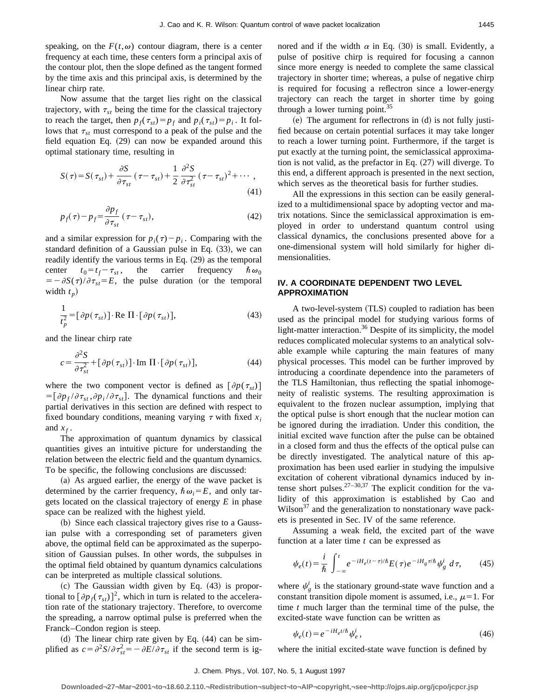speaking, on the  $F(t, \omega)$  contour diagram, there is a center frequency at each time, these centers form a principal axis of the contour plot, then the slope defined as the tangent formed by the time axis and this principal axis, is determined by the linear chirp rate.

Now assume that the target lies right on the classical trajectory, with  $\tau_{st}$  being the time for the classical trajectory to reach the target, then  $p_f(\tau_{st}) = p_f$  and  $p_i(\tau_{st}) = p_i$ . It follows that  $\tau_{st}$  must correspond to a peak of the pulse and the field equation Eq.  $(29)$  can now be expanded around this optimal stationary time, resulting in

$$
S(\tau) = S(\tau_{st}) + \frac{\partial S}{\partial \tau_{st}} (\tau - \tau_{st}) + \frac{1}{2} \frac{\partial^2 S}{\partial \tau_{st}^2} (\tau - \tau_{st})^2 + \cdots,
$$
\n(41)

$$
p_f(\tau) - p_f = \frac{\partial p_f}{\partial \tau_{st}} (\tau - \tau_{st}), \tag{42}
$$

and a similar expression for  $p_i(\tau) - p_i$ . Comparing with the standard definition of a Gaussian pulse in Eq.  $(33)$ , we can readily identify the various terms in Eq.  $(29)$  as the temporal center  $t_0 = t_f - \tau_{st}$ , the carrier frequency  $\hbar \omega_0$  $\vec{s} = -\partial S(\tau)/\partial \tau_{st} = E$ , the pulse duration (or the temporal width  $t_p$ )

$$
\frac{1}{\tau_p^2} = [\partial p(\tau_{st})] \cdot \text{Re } \Pi \cdot [\partial p(\tau_{st})], \tag{43}
$$

and the linear chirp rate

$$
c = \frac{\partial^2 S}{\partial \tau_{st}^2} + [\partial p(\tau_{st})] \cdot \text{Im} \ \Pi \cdot [\partial p(\tau_{st})], \tag{44}
$$

where the two component vector is defined as  $\left[\partial p(\tau_{st})\right]$  $= [\partial p_f / \partial \tau_{st}, \partial p_i / \partial \tau_{st}]$ . The dynamical functions and their partial derivatives in this section are defined with respect to fixed boundary conditions, meaning varying  $\tau$  with fixed  $x_i$ and  $x_f$ .

The approximation of quantum dynamics by classical quantities gives an intuitive picture for understanding the relation between the electric field and the quantum dynamics. To be specific, the following conclusions are discussed:

 $(a)$  As argued earlier, the energy of the wave packet is determined by the carrier frequency,  $\hbar \omega_i = E$ , and only targets located on the classical trajectory of energy *E* in phase space can be realized with the highest yield.

(b) Since each classical trajectory gives rise to a Gaussian pulse with a corresponding set of parameters given above, the optimal field can be approximated as the superposition of Gaussian pulses. In other words, the subpulses in the optimal field obtained by quantum dynamics calculations can be interpreted as multiple classical solutions.

 $~c)$  The Gaussian width given by Eq.  $(43)$  is proportional to  $[\partial p_f(\tau_{st})]^2$ , which in turn is related to the acceleration rate of the stationary trajectory. Therefore, to overcome the spreading, a narrow optimal pulse is preferred when the Franck–Condon region is steep.

 $(d)$  The linear chirp rate given by Eq.  $(44)$  can be simplified as  $c = \frac{\partial^2 S}{\partial \tau_{st}} = -\frac{\partial E}{\partial \tau_{st}}$  if the second term is ignored and if the width  $\alpha$  in Eq. (30) is small. Evidently, a pulse of positive chirp is required for focusing a cannon since more energy is needed to complete the same classical trajectory in shorter time; whereas, a pulse of negative chirp is required for focusing a reflectron since a lower-energy trajectory can reach the target in shorter time by going through a lower turning point.<sup>35</sup>

 $(e)$  The argument for reflectrons in  $(d)$  is not fully justified because on certain potential surfaces it may take longer to reach a lower turning point. Furthermore, if the target is put exactly at the turning point, the semiclassical approximation is not valid, as the prefactor in Eq.  $(27)$  will diverge. To this end, a different approach is presented in the next section, which serves as the theoretical basis for further studies.

All the expressions in this section can be easily generalized to a multidimensional space by adopting vector and matrix notations. Since the semiclassical approximation is employed in order to understand quantum control using classical dynamics, the conclusions presented above for a one-dimensional system will hold similarly for higher dimensionalities.

## **IV. A COORDINATE DEPENDENT TWO LEVEL APPROXIMATION**

A two-level-system (TLS) coupled to radiation has been used as the principal model for studying various forms of light-matter interaction.<sup>36</sup> Despite of its simplicity, the model reduces complicated molecular systems to an analytical solvable example while capturing the main features of many physical processes. This model can be further improved by introducing a coordinate dependence into the parameters of the TLS Hamiltonian, thus reflecting the spatial inhomogeneity of realistic systems. The resulting approximation is equivalent to the frozen nuclear assumption, implying that the optical pulse is short enough that the nuclear motion can be ignored during the irradiation. Under this condition, the initial excited wave function after the pulse can be obtained in a closed form and thus the effects of the optical pulse can be directly investigated. The analytical nature of this approximation has been used earlier in studying the impulsive excitation of coherent vibrational dynamics induced by intense short pulses.<sup>27–30,37</sup> The explicit condition for the validity of this approximation is established by Cao and Wilson $37$  and the generalization to nonstationary wave packets is presented in Sec. IV of the same reference.

Assuming a weak field, the excited part of the wave function at a later time *t* can be expressed as

$$
\psi_e(t) = \frac{i}{\hbar} \int_{-\infty}^t e^{-iH_e(t-\tau)/\hbar} E(\tau) e^{-iH_g\tau/\hbar} \psi_g^i \, d\tau,\qquad(45)
$$

where  $\psi_g^i$  is the stationary ground-state wave function and a constant transition dipole moment is assumed, i.e.,  $\mu=1$ . For time *t* much larger than the terminal time of the pulse, the excited-state wave function can be written as

$$
\psi_e(t) = e^{-iH_e t/\hbar} \psi_e^i, \qquad (46)
$$

where the initial excited-state wave function is defined by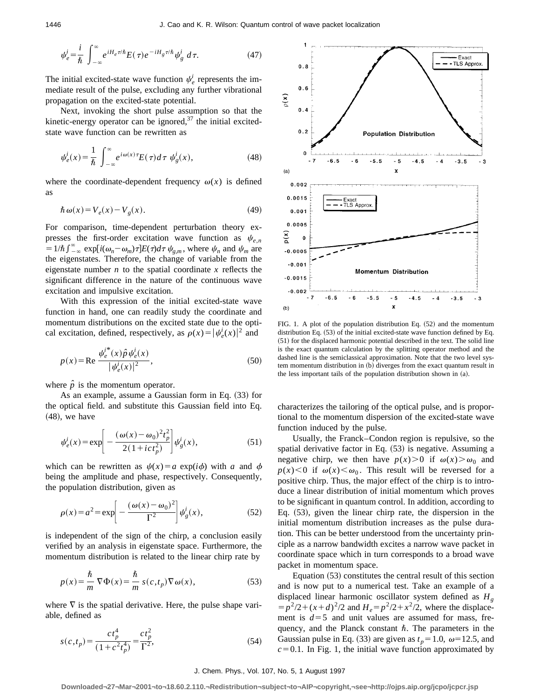The initial excited-state wave function  $\psi_e^i$  represents the immediate result of the pulse, excluding any further vibrational propagation on the excited-state potential.

Next, invoking the short pulse assumption so that the kinetic-energy operator can be ignored, $37$  the initial excitedstate wave function can be rewritten as

$$
\psi_e^i(x) = \frac{1}{\hbar} \int_{-\infty}^{\infty} e^{i\omega(x)\tau} E(\tau) d\tau \psi_g^i(x), \tag{48}
$$

where the coordinate-dependent frequency  $\omega(x)$  is defined as

$$
\hbar \omega(x) = V_e(x) - V_g(x). \tag{49}
$$

For comparison, time-dependent perturbation theory expresses the first-order excitation wave function as  $\psi_{\rho n}$  $\vec{v} = 1/\hbar \int_{-\infty}^{\infty} \exp[i(\omega_n - \omega_m)\tau] E(\tau) d\tau \psi_{g,m}$ , where  $\psi_n$  and  $\psi_m$  are the eigenstates. Therefore, the change of variable from the eigenstate number *n* to the spatial coordinate *x* reflects the significant difference in the nature of the continuous wave excitation and impulsive excitation.

With this expression of the initial excited-state wave function in hand, one can readily study the coordinate and momentum distributions on the excited state due to the optical excitation, defined, respectively, as  $\rho(x) = |\psi_e^i(x)|^2$  and

$$
p(x) = \text{Re}\,\frac{{\psi_e^{i}}^*(x)\hat{p}\,\psi_e^i(x)}{|\psi_e^i(x)|^2},\tag{50}
$$

where  $\hat{p}$  is the momentum operator.

As an example, assume a Gaussian form in Eq.  $(33)$  for the optical field. and substitute this Gaussian field into Eq.  $(48)$ , we have

$$
\psi_e^i(x) = \exp\left[-\frac{(\omega(x) - \omega_0)^2 t_p^2}{2(1 + ict_p^2)}\right] \psi_g^i(x),\tag{51}
$$

which can be rewritten as  $\psi(x) = a \exp(i\phi)$  with *a* and  $\phi$ being the amplitude and phase, respectively. Consequently, the population distribution, given as

$$
\rho(x) = a^2 = \exp\left[-\frac{(\omega(x) - \omega_0)^2}{\Gamma^2}\right] \psi_g^i(x),\tag{52}
$$

is independent of the sign of the chirp, a conclusion easily verified by an analysis in eigenstate space. Furthermore, the momentum distribution is related to the linear chirp rate by

$$
p(x) = \frac{\hbar}{m} \nabla \Phi(x) = \frac{\hbar}{m} s(c, t_p) \nabla \omega(x),
$$
 (53)

where  $\nabla$  is the spatial derivative. Here, the pulse shape variable, defined as

$$
s(c, t_p) = \frac{ct_p^4}{(1 + c^2 t_p^4)} = \frac{ct_p^2}{\Gamma^2},
$$
\n(54)



FIG. 1. A plot of the population distribution Eq. (52) and the momentum distribution Eq.  $(53)$  of the initial excited-state wave function defined by Eq.  $(51)$  for the displaced harmonic potential described in the text. The solid line is the exact quantum calculation by the splitting operator method and the dashed line is the semiclassical approximation. Note that the two level system momentum distribution in (b) diverges from the exact quantum result in the less important tails of the population distribution shown in  $(a)$ .

characterizes the tailoring of the optical pulse, and is proportional to the momentum dispersion of the excited-state wave function induced by the pulse.

Usually, the Franck–Condon region is repulsive, so the spatial derivative factor in Eq.  $(53)$  is negative. Assuming a negative chirp, we then have  $p(x) > 0$  if  $\omega(x) > \omega_0$  and  $p(x)$  < 0 if  $\omega(x)$   $\lt \omega_0$ . This result will be reversed for a positive chirp. Thus, the major effect of the chirp is to introduce a linear distribution of initial momentum which proves to be significant in quantum control. In addition, according to Eq.  $(53)$ , given the linear chirp rate, the dispersion in the initial momentum distribution increases as the pulse duration. This can be better understood from the uncertainty principle as a narrow bandwidth excites a narrow wave packet in coordinate space which in turn corresponds to a broad wave packet in momentum space.

Equation  $(53)$  constitutes the central result of this section and is now put to a numerical test. Take an example of a displaced linear harmonic oscillator system defined as  $H<sub>g</sub>$  $= p^2/2 + (x+d)^2/2$  and  $H_e = p^2/2 + x^2/2$ , where the displacement is  $d=5$  and unit values are assumed for mass, frequency, and the Planck constant  $\hbar$ . The parameters in the Gaussian pulse in Eq. (33) are given as  $t_p = 1.0$ ,  $\omega = 12.5$ , and  $c=0.1$ . In Fig. 1, the initial wave function approximated by

 $e^{iH_e\tau/\hbar}E(\tau)e^{-iH_g\tau/\hbar}\psi_g^i d\tau.$  (47)

 $\psi_e^i = \frac{i}{\hbar} \int_{-\infty}^{\infty}$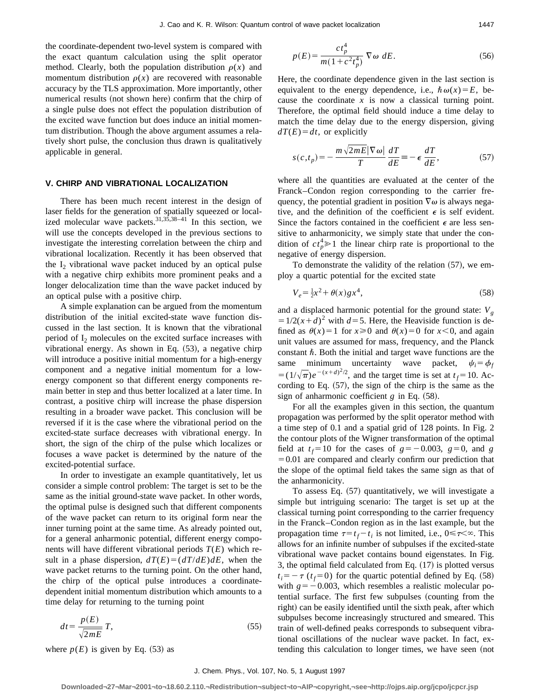the coordinate-dependent two-level system is compared with the exact quantum calculation using the split operator method. Clearly, both the population distribution  $\rho(x)$  and momentum distribution  $\rho(x)$  are recovered with reasonable accuracy by the TLS approximation. More importantly, other numerical results (not shown here) confirm that the chirp of a single pulse does not effect the population distribution of the excited wave function but does induce an initial momentum distribution. Though the above argument assumes a relatively short pulse, the conclusion thus drawn is qualitatively applicable in general.

#### **V. CHIRP AND VIBRATIONAL LOCALIZATION**

There has been much recent interest in the design of laser fields for the generation of spatially squeezed or localized molecular wave packets.  $31,35,38-41$  In this section, we will use the concepts developed in the previous sections to investigate the interesting correlation between the chirp and vibrational localization. Recently it has been observed that the  $I_2$  vibrational wave packet induced by an optical pulse with a negative chirp exhibits more prominent peaks and a longer delocalization time than the wave packet induced by an optical pulse with a positive chirp.

A simple explanation can be argued from the momentum distribution of the initial excited-state wave function discussed in the last section. It is known that the vibrational period of  $I_2$  molecules on the excited surface increases with vibrational energy. As shown in Eq.  $(53)$ , a negative chirp will introduce a positive initial momentum for a high-energy component and a negative initial momentum for a lowenergy component so that different energy components remain better in step and thus better localized at a later time. In contrast, a positive chirp will increase the phase dispersion resulting in a broader wave packet. This conclusion will be reversed if it is the case where the vibrational period on the excited-state surface decreases with vibrational energy. In short, the sign of the chirp of the pulse which localizes or focuses a wave packet is determined by the nature of the excited-potential surface.

In order to investigate an example quantitatively, let us consider a simple control problem: The target is set to be the same as the initial ground-state wave packet. In other words, the optimal pulse is designed such that different components of the wave packet can return to its original form near the inner turning point at the same time. As already pointed out, for a general anharmonic potential, different energy components will have different vibrational periods *T*(*E*) which result in a phase dispersion,  $dT(E) = (dT/dE)dE$ , when the wave packet returns to the turning point. On the other hand, the chirp of the optical pulse introduces a coordinatedependent initial momentum distribution which amounts to a time delay for returning to the turning point

$$
dt = \frac{p(E)}{\sqrt{2mE}}T,\t\t(55)
$$

where  $p(E)$  is given by Eq. (53) as

$$
p(E) = \frac{ct_p^4}{m(1 + c^2 t_p^4)} \nabla \omega dE.
$$
 (56)

Here, the coordinate dependence given in the last section is equivalent to the energy dependence, i.e.,  $\hbar \omega(x) = E$ , because the coordinate *x* is now a classical turning point. Therefore, the optimal field should induce a time delay to match the time delay due to the energy dispersion, giving  $dT(E) = dt$ , or explicitly

$$
s(c,t_p) = -\frac{m\sqrt{2mE}|\nabla\omega|}{T}\frac{dT}{dE} = -\epsilon\frac{dT}{dE},
$$
\n(57)

where all the quantities are evaluated at the center of the Franck–Condon region corresponding to the carrier frequency, the potential gradient in position  $\nabla \omega$  is always negative, and the definition of the coefficient  $\epsilon$  is self evident. Since the factors contained in the coefficient  $\epsilon$  are less sensitive to anharmonicity, we simply state that under the condition of  $ct_p^4 \ge 1$  the linear chirp rate is proportional to the negative of energy dispersion.

To demonstrate the validity of the relation  $(57)$ , we employ a quartic potential for the excited state

$$
V_e = \frac{1}{2}x^2 + \theta(x)gx^4,\tag{58}
$$

and a displaced harmonic potential for the ground state:  $V_{\varphi}$  $=1/2(x+d)^2$  with  $d=5$ . Here, the Heaviside function is defined as  $\theta(x)=1$  for  $x\ge0$  and  $\theta(x)=0$  for  $x<0$ , and again unit values are assumed for mass, frequency, and the Planck constant  $\hbar$ . Both the initial and target wave functions are the same minimum uncertainty wave packet,  $\psi_i = \phi_f$  $= (1/\sqrt{\pi})e^{-(x+d)^2/2}$ , and the target time is set at  $t_f = 10$ . According to Eq.  $(57)$ , the sign of the chirp is the same as the sign of anharmonic coefficient  $g$  in Eq.  $(58)$ .

For all the examples given in this section, the quantum propagation was performed by the split operator method with a time step of 0.1 and a spatial grid of 128 points. In Fig. 2 the contour plots of the Wigner transformation of the optimal field at  $t_f$ =10 for the cases of  $g = -0.003$ ,  $g = 0$ , and *g*  $=0.01$  are compared and clearly confirm our prediction that the slope of the optimal field takes the same sign as that of the anharmonicity.

To assess Eq.  $(57)$  quantitatively, we will investigate a simple but intriguing scenario: The target is set up at the classical turning point corresponding to the carrier frequency in the Franck–Condon region as in the last example, but the propagation time  $\tau = t_f - t_i$  is not limited, i.e.,  $0 \le \tau \le \infty$ . This allows for an infinite number of subpulses if the excited-state vibrational wave packet contains bound eigenstates. In Fig. 3, the optimal field calculated from Eq.  $(17)$  is plotted versus  $t_i = -\tau$  ( $t_f = 0$ ) for the quartic potential defined by Eq. (58) with  $g = -0.003$ , which resembles a realistic molecular potential surface. The first few subpulses (counting from the right) can be easily identified until the sixth peak, after which subpulses become increasingly structured and smeared. This train of well-defined peaks corresponds to subsequent vibrational oscillations of the nuclear wave packet. In fact, extending this calculation to longer times, we have seen (not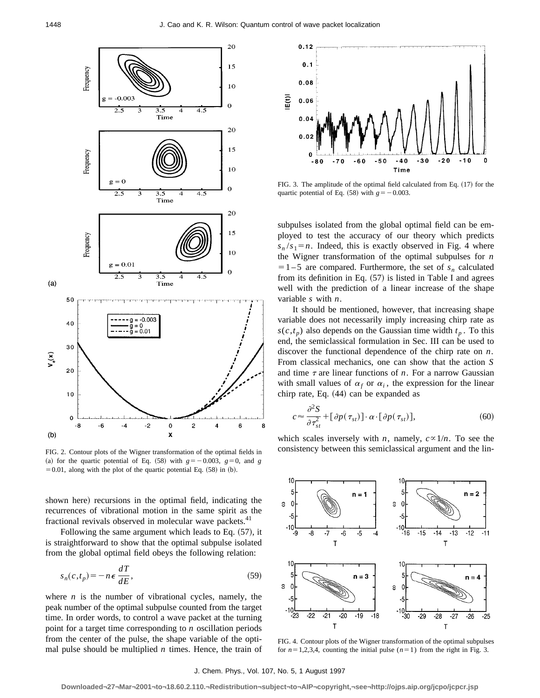

FIG. 2. Contour plots of the Wigner transformation of the optimal fields in (a) for the quartic potential of Eq.  $(58)$  with  $g = -0.003$ ,  $g = 0$ , and *g*  $=0.01$ , along with the plot of the quartic potential Eq.  $(58)$  in  $(b)$ .

shown here) recursions in the optimal field, indicating the recurrences of vibrational motion in the same spirit as the fractional revivals observed in molecular wave packets.<sup>41</sup>

Following the same argument which leads to Eq.  $(57)$ , it is straightforward to show that the optimal subpulse isolated from the global optimal field obeys the following relation:

$$
s_n(c, t_p) = -n\epsilon \frac{dT}{dE},\tag{59}
$$

where  $n$  is the number of vibrational cycles, namely, the peak number of the optimal subpulse counted from the target time. In order words, to control a wave packet at the turning point for a target time corresponding to *n* oscillation periods from the center of the pulse, the shape variable of the optimal pulse should be multiplied *n* times. Hence, the train of



FIG. 3. The amplitude of the optimal field calculated from Eq.  $(17)$  for the quartic potential of Eq.  $(58)$  with  $g = -0.003$ .

subpulses isolated from the global optimal field can be employed to test the accuracy of our theory which predicts  $s_n$ / $s_1$  = *n*. Indeed, this is exactly observed in Fig. 4 where the Wigner transformation of the optimal subpulses for *n*  $=1-5$  are compared. Furthermore, the set of  $s_n$  calculated from its definition in Eq.  $(57)$  is listed in Table I and agrees well with the prediction of a linear increase of the shape variable *s* with *n*.

It should be mentioned, however, that increasing shape variable does not necessarily imply increasing chirp rate as  $s(c, t_p)$  also depends on the Gaussian time width  $t_p$ . To this end, the semiclassical formulation in Sec. III can be used to discover the functional dependence of the chirp rate on *n*. From classical mechanics, one can show that the action *S* and time  $\tau$  are linear functions of  $n$ . For a narrow Gaussian with small values of  $\alpha_f$  or  $\alpha_i$ , the expression for the linear chirp rate, Eq.  $(44)$  can be expanded as

$$
c \approx \frac{\partial^2 S}{\partial \tau_{st}^2} + [\partial p(\tau_{st})] \cdot \alpha \cdot [\partial p(\tau_{st})],
$$
\n(60)

which scales inversely with *n*, namely,  $c \propto 1/n$ . To see the consistency between this semiclassical argument and the lin-



FIG. 4. Contour plots of the Wigner transformation of the optimal subpulses for  $n=1,2,3,4$ , counting the initial pulse  $(n=1)$  from the right in Fig. 3.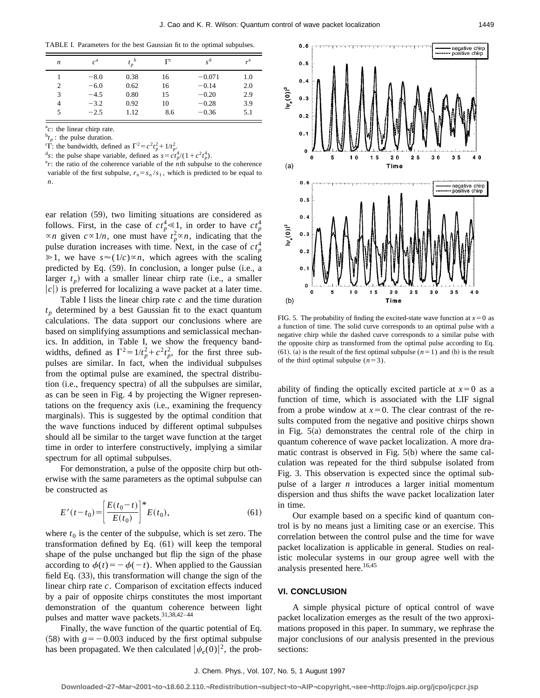TABLE I. Parameters for the best Gaussian fit to the optimal subpulses.

| n | $c^{\rm a}$ | $t_p^{\ b}$ | $\Gamma^c$ | $s^d$    | $r^e$ |
|---|-------------|-------------|------------|----------|-------|
|   | $-8.0$      | 0.38        | 16         | $-0.071$ | 1.0   |
| 2 | $-6.0$      | 0.62        | 16         | $-0.14$  | 2.0   |
| 3 | $-4.5$      | 0.80        | 15         | $-0.20$  | 2.9   |
| 4 | $-3.2$      | 0.92        | 10         | $-0.28$  | 3.9   |
| 5 | $-2.5$      | 1.12        | 8.6        | $-0.36$  | 5.1   |

<sup>a</sup>c: the linear chirp rate.

 ${}^{b}t_{p}$ : the pulse duration.<br><sup>c</sup>C: the bandwidth, define

 $\Gamma$ : the bandwidth, defined as  $\Gamma^2 = c^2 t_p^2 + 1/t_p^2$ .

<sup>d</sup>s: the pulse shape variable, defined as  $s = ct_p^4/(1+c^2t_p^4)$ .

 $e<sub>r</sub>$ : the ratio of the coherence variable of the *n*th subpulse to the coherence variable of the first subpulse,  $r_n = s_n / s_1$ , which is predicted to be equal to *n*.

ear relation  $(59)$ , two limiting situations are considered as follows. First, in the case of  $c t_p^4 \ll 1$ , in order to have  $c t_p^4$  $\propto$ *n* given  $c \propto 1/n$ , one must have  $t_p^2 \propto n$ , indicating that the pulse duration increases with time. Next, in the case of  $ct_p^4$  $\geq 1$ , we have  $s \approx (1/c) \propto n$ , which agrees with the scaling predicted by Eq.  $(59)$ . In conclusion, a longer pulse  $(i.e., a$ larger  $t_p$ ) with a smaller linear chirp rate (i.e., a smaller  $|c|$ ) is preferred for localizing a wave packet at a later time.

Table I lists the linear chirp rate *c* and the time duration  $t_p$  determined by a best Gaussian fit to the exact quantum calculations. The data support our conclusions where are based on simplifying assumptions and semiclassical mechanics. In addition, in Table I, we show the frequency bandwidths, defined as  $\Gamma^2 = 1/t_p^2 + c^2 t_p^2$ , for the first three subpulses are similar. In fact, when the individual subpulses from the optimal pulse are examined, the spectral distribution (i.e., frequency spectra) of all the subpulses are similar, as can be seen in Fig. 4 by projecting the Wigner representations on the frequency axis (i.e., examining the frequency marginals). This is suggested by the optimal condition that the wave functions induced by different optimal subpulses should all be similar to the target wave function at the target time in order to interfere constructively, implying a similar spectrum for all optimal subpulses.

For demonstration, a pulse of the opposite chirp but otherwise with the same parameters as the optimal subpulse can be constructed as

$$
E'(t-t_0) = \left[\frac{E(t_0-t)}{E(t_0)}\right]^* E(t_0),\tag{61}
$$

where  $t_0$  is the center of the subpulse, which is set zero. The transformation defined by Eq.  $(61)$  will keep the temporal shape of the pulse unchanged but flip the sign of the phase according to  $\phi(t) = -\phi(-t)$ . When applied to the Gaussian field Eq.  $(33)$ , this transformation will change the sign of the linear chirp rate *c*. Comparison of excitation effects induced by a pair of opposite chirps constitutes the most important demonstration of the quantum coherence between light pulses and matter wave packets.<sup>31,38,42-44</sup>

Finally, the wave function of the quartic potential of Eq.  $(58)$  with  $g = -0.003$  induced by the first optimal subpulse has been propagated. We then calculated  $|\psi_e(0)|^2$ , the prob-



FIG. 5. The probability of finding the excited-state wave function at  $x=0$  as a function of time. The solid curve corresponds to an optimal pulse with a negative chirp while the dashed curve corresponds to a similar pulse with the opposite chirp as transformed from the optimal pulse according to Eq.  $(61)$ . (a) is the result of the first optimal subpulse ( $n=1$ ) and (b) is the result of the third optimal subpulse  $(n=3)$ .

ability of finding the optically excited particle at  $x=0$  as a function of time, which is associated with the LIF signal from a probe window at  $x=0$ . The clear contrast of the results computed from the negative and positive chirps shown in Fig.  $5(a)$  demonstrates the central role of the chirp in quantum coherence of wave packet localization. A more dramatic contrast is observed in Fig.  $5(b)$  where the same calculation was repeated for the third subpulse isolated from Fig. 3. This observation is expected since the optimal subpulse of a larger *n* introduces a larger initial momentum dispersion and thus shifts the wave packet localization later in time.

Our example based on a specific kind of quantum control is by no means just a limiting case or an exercise. This correlation between the control pulse and the time for wave packet localization is applicable in general. Studies on realistic molecular systems in our group agree well with the analysis presented here.<sup>16,45</sup>

### **VI. CONCLUSION**

A simple physical picture of optical control of wave packet localization emerges as the result of the two approximations proposed in this paper. In summary, we rephrase the major conclusions of our analysis presented in the previous sections: